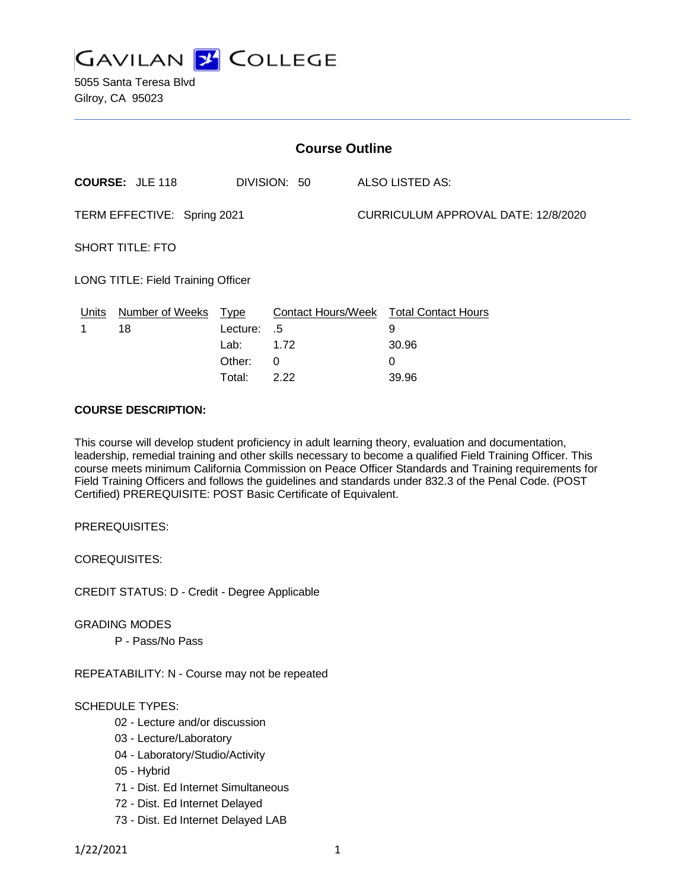**GAVILAN J COLLEGE** 

5055 Santa Teresa Blvd Gilroy, CA 95023

| <b>Course Outline</b>              |                        |             |              |                                     |                                        |
|------------------------------------|------------------------|-------------|--------------|-------------------------------------|----------------------------------------|
|                                    | <b>COURSE: JLE 118</b> |             | DIVISION: 50 |                                     | ALSO LISTED AS:                        |
| TERM EFFECTIVE: Spring 2021        |                        |             |              | CURRICULUM APPROVAL DATE: 12/8/2020 |                                        |
| <b>SHORT TITLE: FTO</b>            |                        |             |              |                                     |                                        |
| LONG TITLE: Field Training Officer |                        |             |              |                                     |                                        |
| Units                              | <b>Number of Weeks</b> | <b>Type</b> |              |                                     | Contact Hours/Week Total Contact Hours |
| 1                                  | 18                     | Lecture:    | .5           |                                     | 9                                      |
|                                    |                        | Lab:        | 1.72         |                                     | 30.96                                  |
|                                    |                        | Other:      | 0            |                                     | 0                                      |
|                                    |                        | Total:      | 2.22         |                                     | 39.96                                  |

#### **COURSE DESCRIPTION:**

This course will develop student proficiency in adult learning theory, evaluation and documentation, leadership, remedial training and other skills necessary to become a qualified Field Training Officer. This course meets minimum California Commission on Peace Officer Standards and Training requirements for Field Training Officers and follows the guidelines and standards under 832.3 of the Penal Code. (POST Certified) PREREQUISITE: POST Basic Certificate of Equivalent.

PREREQUISITES:

COREQUISITES:

CREDIT STATUS: D - Credit - Degree Applicable

GRADING MODES

P - Pass/No Pass

REPEATABILITY: N - Course may not be repeated

#### SCHEDULE TYPES:

- 02 Lecture and/or discussion
- 03 Lecture/Laboratory
- 04 Laboratory/Studio/Activity
- 05 Hybrid
- 71 Dist. Ed Internet Simultaneous
- 72 Dist. Ed Internet Delayed
- 73 Dist. Ed Internet Delayed LAB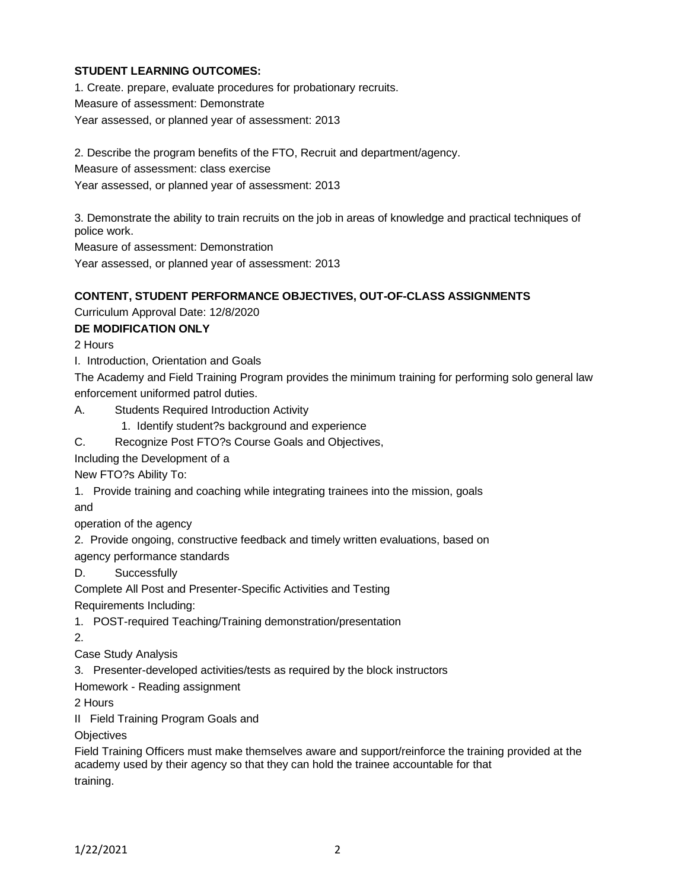## **STUDENT LEARNING OUTCOMES:**

1. Create. prepare, evaluate procedures for probationary recruits. Measure of assessment: Demonstrate Year assessed, or planned year of assessment: 2013

2. Describe the program benefits of the FTO, Recruit and department/agency.

Measure of assessment: class exercise

Year assessed, or planned year of assessment: 2013

3. Demonstrate the ability to train recruits on the job in areas of knowledge and practical techniques of police work.

Measure of assessment: Demonstration

Year assessed, or planned year of assessment: 2013

## **CONTENT, STUDENT PERFORMANCE OBJECTIVES, OUT-OF-CLASS ASSIGNMENTS**

Curriculum Approval Date: 12/8/2020

## **DE MODIFICATION ONLY**

2 Hours

I. Introduction, Orientation and Goals

The Academy and Field Training Program provides the minimum training for performing solo general law enforcement uniformed patrol duties.

A. Students Required Introduction Activity

1. Identify student?s background and experience

C. Recognize Post FTO?s Course Goals and Objectives,

Including the Development of a

New FTO?s Ability To:

1. Provide training and coaching while integrating trainees into the mission, goals

and

operation of the agency

2. Provide ongoing, constructive feedback and timely written evaluations, based on

agency performance standards

D. Successfully

Complete All Post and Presenter-Specific Activities and Testing

Requirements Including:

1. POST-required Teaching/Training demonstration/presentation

2.

Case Study Analysis

3. Presenter-developed activities/tests as required by the block instructors

Homework - Reading assignment

2 Hours

II Field Training Program Goals and

**Objectives** 

Field Training Officers must make themselves aware and support/reinforce the training provided at the academy used by their agency so that they can hold the trainee accountable for that training.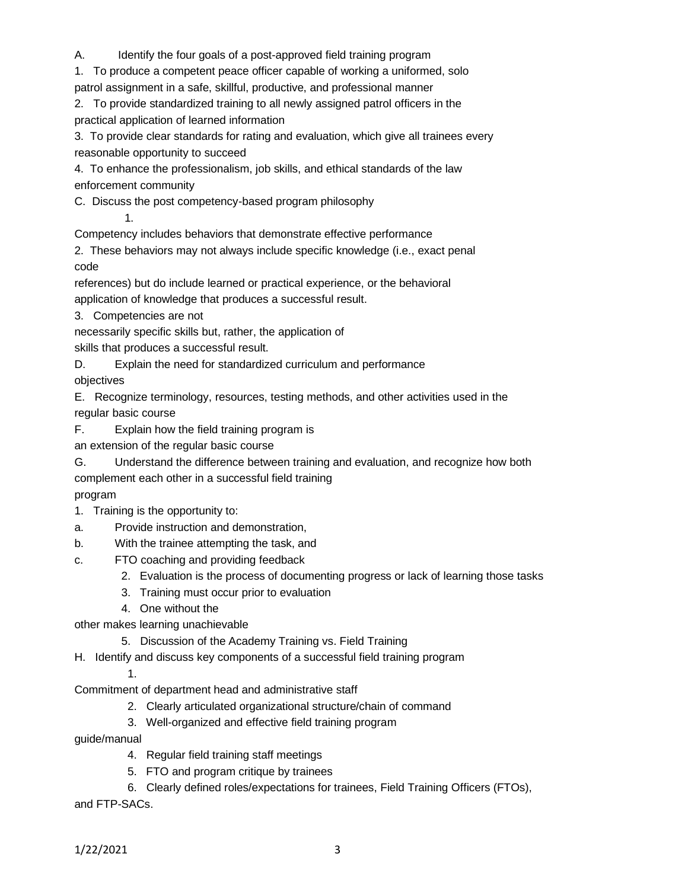A. Identify the four goals of a post-approved field training program

1. To produce a competent peace officer capable of working a uniformed, solo

patrol assignment in a safe, skillful, productive, and professional manner

2. To provide standardized training to all newly assigned patrol officers in the practical application of learned information

3. To provide clear standards for rating and evaluation, which give all trainees every reasonable opportunity to succeed

4. To enhance the professionalism, job skills, and ethical standards of the law enforcement community

C. Discuss the post competency-based program philosophy

1.

Competency includes behaviors that demonstrate effective performance

2. These behaviors may not always include specific knowledge (i.e., exact penal code

references) but do include learned or practical experience, or the behavioral application of knowledge that produces a successful result.

3. Competencies are not

necessarily specific skills but, rather, the application of

skills that produces a successful result.

D. Explain the need for standardized curriculum and performance

objectives

E. Recognize terminology, resources, testing methods, and other activities used in the regular basic course

F. Explain how the field training program is

an extension of the regular basic course

G. Understand the difference between training and evaluation, and recognize how both

complement each other in a successful field training

program

1. Training is the opportunity to:

- a. Provide instruction and demonstration,
- b. With the trainee attempting the task, and
- c. FTO coaching and providing feedback
	- 2. Evaluation is the process of documenting progress or lack of learning those tasks
	- 3. Training must occur prior to evaluation
	- 4. One without the

other makes learning unachievable

5. Discussion of the Academy Training vs. Field Training

H. Identify and discuss key components of a successful field training program

1.

Commitment of department head and administrative staff

- 2. Clearly articulated organizational structure/chain of command
- 3. Well-organized and effective field training program
- guide/manual
	- 4. Regular field training staff meetings
	- 5. FTO and program critique by trainees
	- 6. Clearly defined roles/expectations for trainees, Field Training Officers (FTOs),

and FTP-SACs.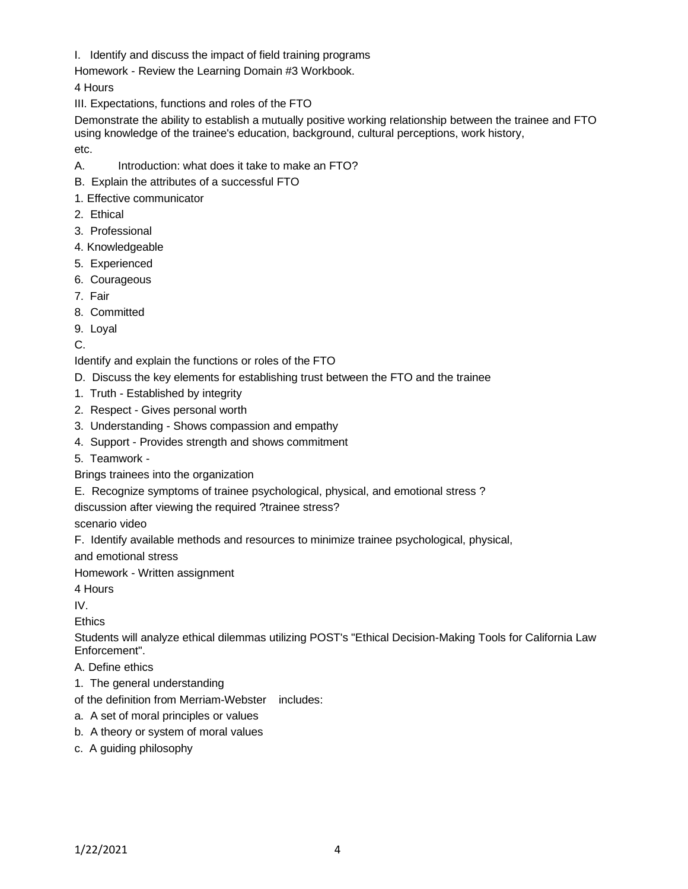I. Identify and discuss the impact of field training programs

Homework - Review the Learning Domain #3 Workbook.

4 Hours

III. Expectations, functions and roles of the FTO

Demonstrate the ability to establish a mutually positive working relationship between the trainee and FTO using knowledge of the trainee's education, background, cultural perceptions, work history, etc.

- A. Introduction: what does it take to make an FTO?
- B. Explain the attributes of a successful FTO
- 1. Effective communicator
- 2. Ethical
- 3. Professional
- 4. Knowledgeable
- 5. Experienced
- 6. Courageous
- 7. Fair
- 8. Committed
- 9. Loyal
- C.

Identify and explain the functions or roles of the FTO

- D. Discuss the key elements for establishing trust between the FTO and the trainee
- 1. Truth Established by integrity
- 2. Respect Gives personal worth
- 3. Understanding Shows compassion and empathy
- 4. Support Provides strength and shows commitment
- 5. Teamwork -
- Brings trainees into the organization
- E. Recognize symptoms of trainee psychological, physical, and emotional stress ?

discussion after viewing the required ?trainee stress?

scenario video

F. Identify available methods and resources to minimize trainee psychological, physical,

and emotional stress

Homework - Written assignment

4 Hours

IV.

**Ethics** 

Students will analyze ethical dilemmas utilizing POST's "Ethical Decision-Making Tools for California Law Enforcement".

- A. Define ethics
- 1. The general understanding
- of the definition from Merriam-Webster includes:
- a. A set of moral principles or values
- b. A theory or system of moral values
- c. A guiding philosophy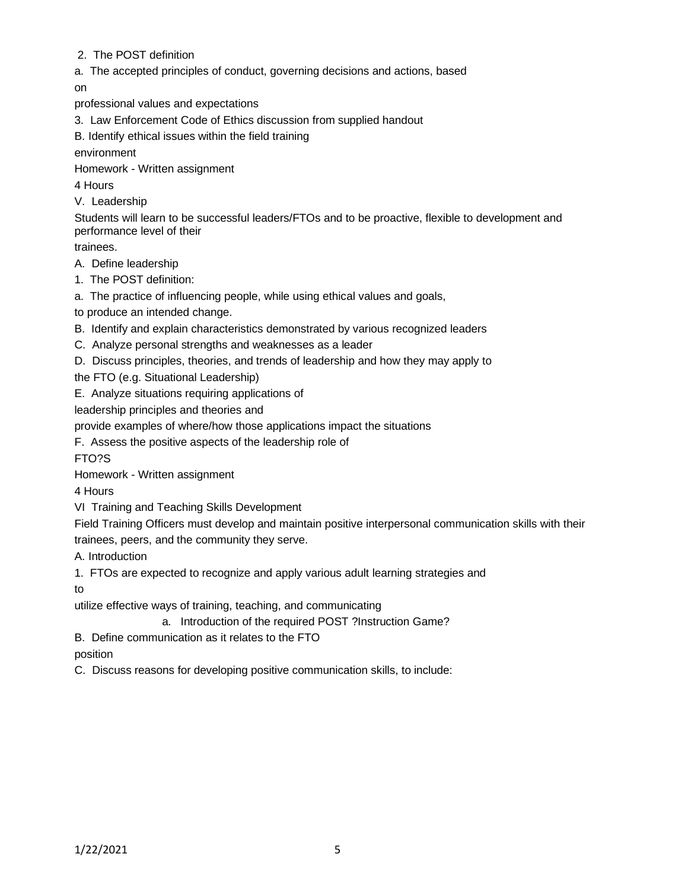# 2. The POST definition

a. The accepted principles of conduct, governing decisions and actions, based

on

professional values and expectations

3. Law Enforcement Code of Ethics discussion from supplied handout

B. Identify ethical issues within the field training

environment

Homework - Written assignment

4 Hours

V. Leadership

Students will learn to be successful leaders/FTOs and to be proactive, flexible to development and performance level of their

trainees.

- A. Define leadership
- 1. The POST definition:
- a. The practice of influencing people, while using ethical values and goals,
- to produce an intended change.
- B. Identify and explain characteristics demonstrated by various recognized leaders
- C. Analyze personal strengths and weaknesses as a leader
- D. Discuss principles, theories, and trends of leadership and how they may apply to

the FTO (e.g. Situational Leadership)

E. Analyze situations requiring applications of

leadership principles and theories and

provide examples of where/how those applications impact the situations

F. Assess the positive aspects of the leadership role of

FTO?S

Homework - Written assignment

4 Hours

VI Training and Teaching Skills Development

Field Training Officers must develop and maintain positive interpersonal communication skills with their trainees, peers, and the community they serve.

A. Introduction

1. FTOs are expected to recognize and apply various adult learning strategies and

to

utilize effective ways of training, teaching, and communicating

a. Introduction of the required POST ?Instruction Game?

B. Define communication as it relates to the FTO

position

C. Discuss reasons for developing positive communication skills, to include: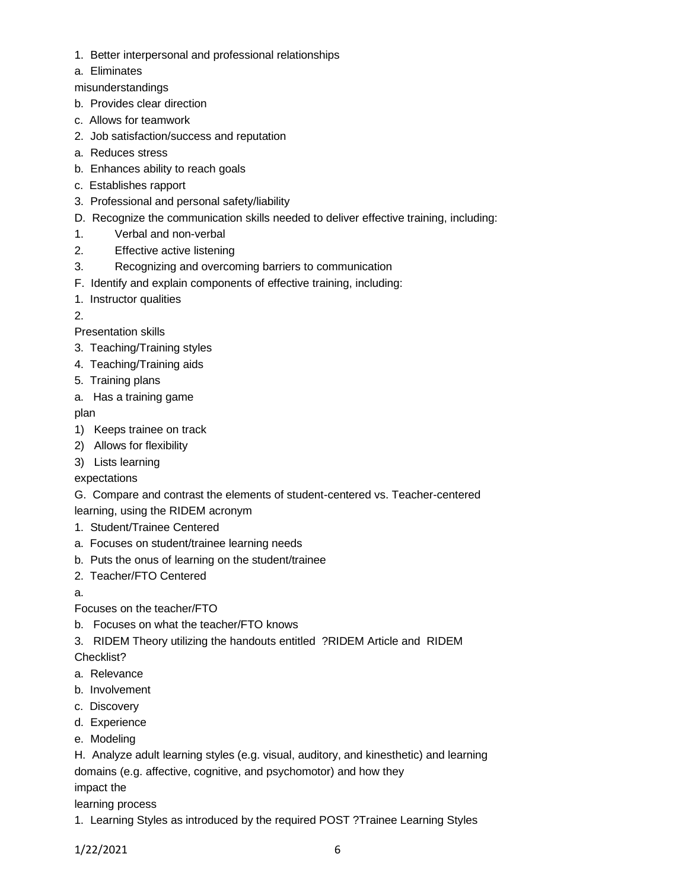- 1. Better interpersonal and professional relationships
- a. Eliminates
- misunderstandings
- b. Provides clear direction
- c. Allows for teamwork
- 2. Job satisfaction/success and reputation
- a. Reduces stress
- b. Enhances ability to reach goals
- c. Establishes rapport
- 3. Professional and personal safety/liability
- D. Recognize the communication skills needed to deliver effective training, including:
- 1. Verbal and non-verbal
- 2. Effective active listening
- 3. Recognizing and overcoming barriers to communication
- F. Identify and explain components of effective training, including:
- 1. Instructor qualities
- 2.
- Presentation skills
- 3. Teaching/Training styles
- 4. Teaching/Training aids
- 5. Training plans
- a. Has a training game

# plan

- 1) Keeps trainee on track
- 2) Allows for flexibility
- 3) Lists learning

# expectations

G. Compare and contrast the elements of student-centered vs. Teacher-centered

learning, using the RIDEM acronym

- 1. Student/Trainee Centered
- a. Focuses on student/trainee learning needs
- b. Puts the onus of learning on the student/trainee
- 2. Teacher/FTO Centered

a.

- Focuses on the teacher/FTO
- b. Focuses on what the teacher/FTO knows
- 3. RIDEM Theory utilizing the handouts entitled ?RIDEM Article and RIDEM

Checklist?

- a. Relevance
- b. Involvement
- c. Discovery
- d. Experience
- e. Modeling

H. Analyze adult learning styles (e.g. visual, auditory, and kinesthetic) and learning domains (e.g. affective, cognitive, and psychomotor) and how they impact the

learning process

1. Learning Styles as introduced by the required POST ?Trainee Learning Styles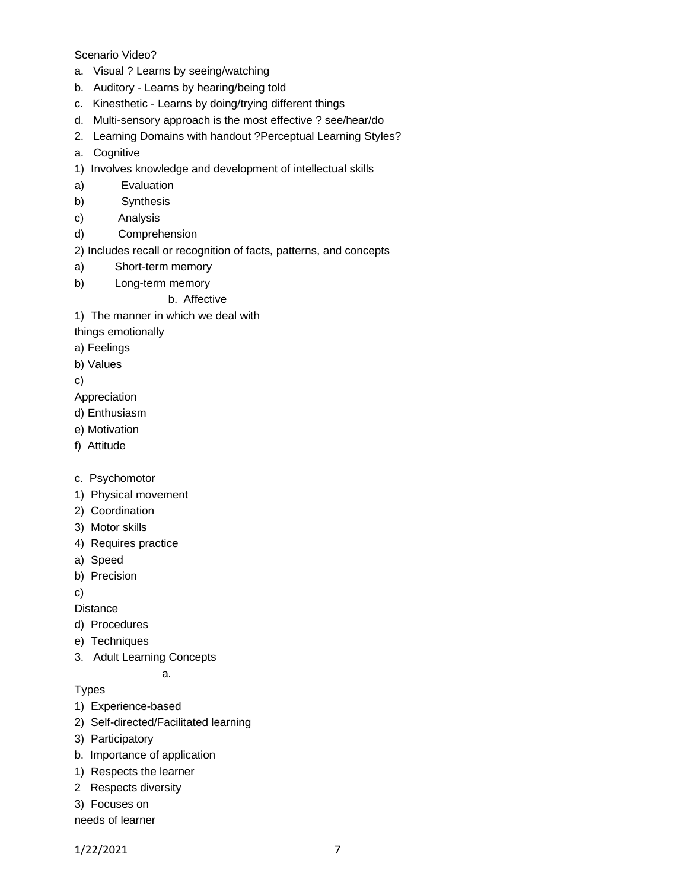#### Scenario Video?

- a. Visual ? Learns by seeing/watching
- b. Auditory Learns by hearing/being told
- c. Kinesthetic Learns by doing/trying different things
- d. Multi-sensory approach is the most effective ? see/hear/do
- 2. Learning Domains with handout ?Perceptual Learning Styles?
- a. Cognitive
- 1) Involves knowledge and development of intellectual skills
- a) Evaluation
- b) Synthesis
- c) Analysis
- d) Comprehension
- 2) Includes recall or recognition of facts, patterns, and concepts
- a) Short-term memory
- b) Long-term memory
	- b. Affective
- 1) The manner in which we deal with
- things emotionally
- a) Feelings
- b) Values
- c)
- Appreciation
- d) Enthusiasm
- e) Motivation
- f) Attitude
- c. Psychomotor
- 1) Physical movement
- 2) Coordination
- 3) Motor skills
- 4) Requires practice
- a) Speed
- b) Precision
- c)

**Distance** 

- d) Procedures
- e) Techniques
- 3. Adult Learning Concepts

a.

- **Types**
- 1) Experience-based
- 2) Self-directed/Facilitated learning
- 3) Participatory
- b. Importance of application
- 1) Respects the learner
- 2 Respects diversity
- 3) Focuses on
- needs of learner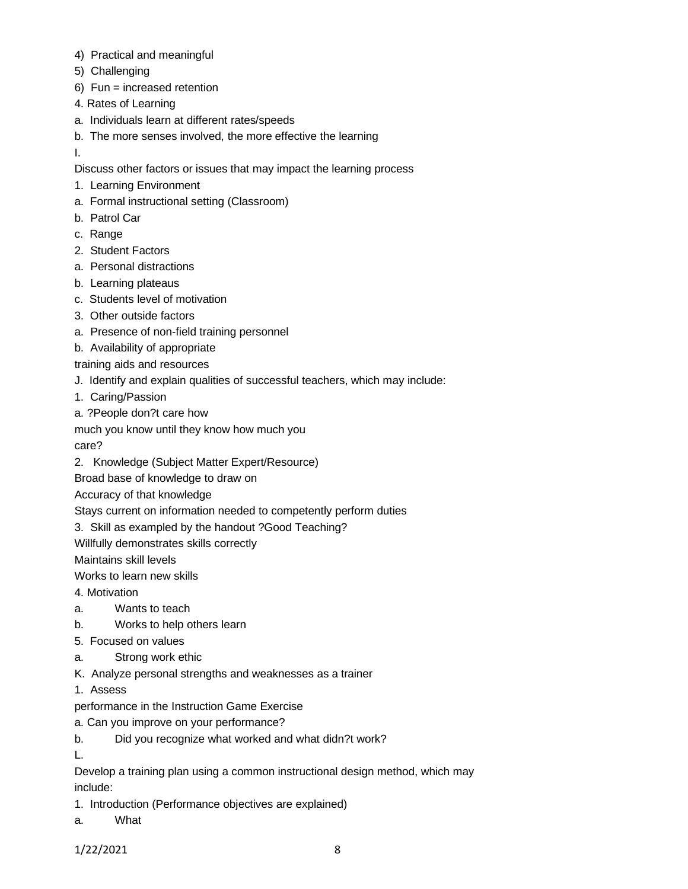- 4) Practical and meaningful
- 5) Challenging
- 6) Fun = increased retention
- 4. Rates of Learning
- a. Individuals learn at different rates/speeds
- b. The more senses involved, the more effective the learning
- I.

Discuss other factors or issues that may impact the learning process

- 1. Learning Environment
- a. Formal instructional setting (Classroom)
- b. Patrol Car
- c. Range
- 2. Student Factors
- a. Personal distractions
- b. Learning plateaus
- c. Students level of motivation
- 3. Other outside factors
- a. Presence of non-field training personnel
- b. Availability of appropriate
- training aids and resources
- J. Identify and explain qualities of successful teachers, which may include:
- 1. Caring/Passion
- a. ?People don?t care how

much you know until they know how much you

care?

2. Knowledge (Subject Matter Expert/Resource)

Broad base of knowledge to draw on

Accuracy of that knowledge

Stays current on information needed to competently perform duties

3. Skill as exampled by the handout ?Good Teaching?

Willfully demonstrates skills correctly

Maintains skill levels

Works to learn new skills

- 4. Motivation
- a. Wants to teach
- b. Works to help others learn
- 5. Focused on values
- a. Strong work ethic
- K. Analyze personal strengths and weaknesses as a trainer
- 1. Assess

performance in the Instruction Game Exercise

- a. Can you improve on your performance?
- b. Did you recognize what worked and what didn?t work?
- L.

Develop a training plan using a common instructional design method, which may include:

- 1. Introduction (Performance objectives are explained)
- a. What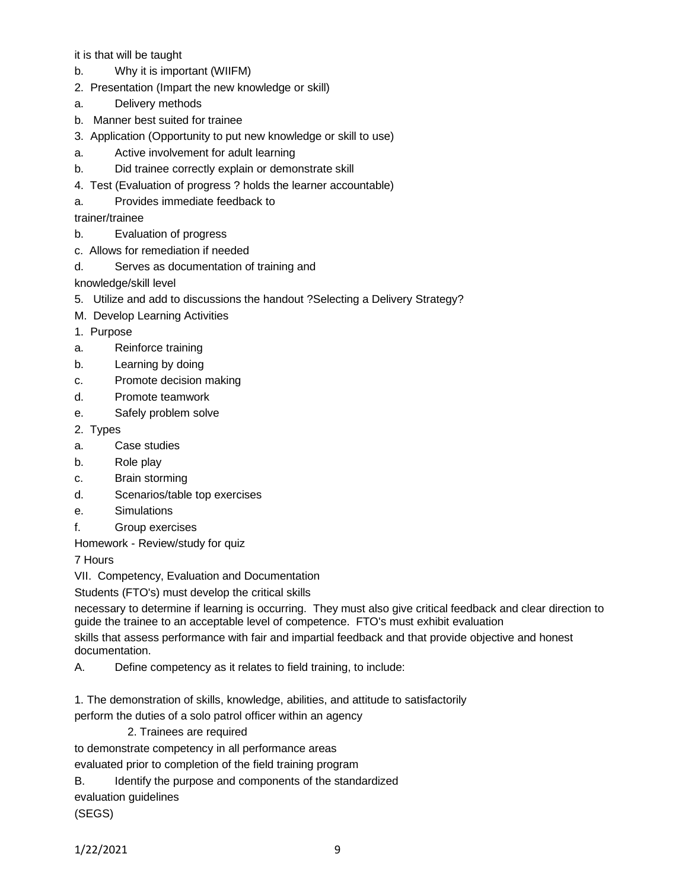it is that will be taught

- b. Why it is important (WIIFM)
- 2. Presentation (Impart the new knowledge or skill)
- a. Delivery methods
- b. Manner best suited for trainee
- 3. Application (Opportunity to put new knowledge or skill to use)
- a. Active involvement for adult learning
- b. Did trainee correctly explain or demonstrate skill
- 4. Test (Evaluation of progress ? holds the learner accountable)
- a. Provides immediate feedback to

trainer/trainee

- b. Evaluation of progress
- c. Allows for remediation if needed
- d. Serves as documentation of training and

knowledge/skill level

- 5. Utilize and add to discussions the handout ?Selecting a Delivery Strategy?
- M. Develop Learning Activities
- 1. Purpose
- a. Reinforce training
- b. Learning by doing
- c. Promote decision making
- d. Promote teamwork
- e. Safely problem solve
- 2. Types
- a. Case studies
- b. Role play
- c. Brain storming
- d. Scenarios/table top exercises
- e. Simulations
- f. Group exercises

Homework - Review/study for quiz

7 Hours

VII. Competency, Evaluation and Documentation

Students (FTO's) must develop the critical skills

necessary to determine if learning is occurring. They must also give critical feedback and clear direction to guide the trainee to an acceptable level of competence. FTO's must exhibit evaluation

skills that assess performance with fair and impartial feedback and that provide objective and honest documentation.

A. Define competency as it relates to field training, to include:

1. The demonstration of skills, knowledge, abilities, and attitude to satisfactorily

perform the duties of a solo patrol officer within an agency

2. Trainees are required

to demonstrate competency in all performance areas

evaluated prior to completion of the field training program

B. Identify the purpose and components of the standardized

evaluation guidelines

(SEGS)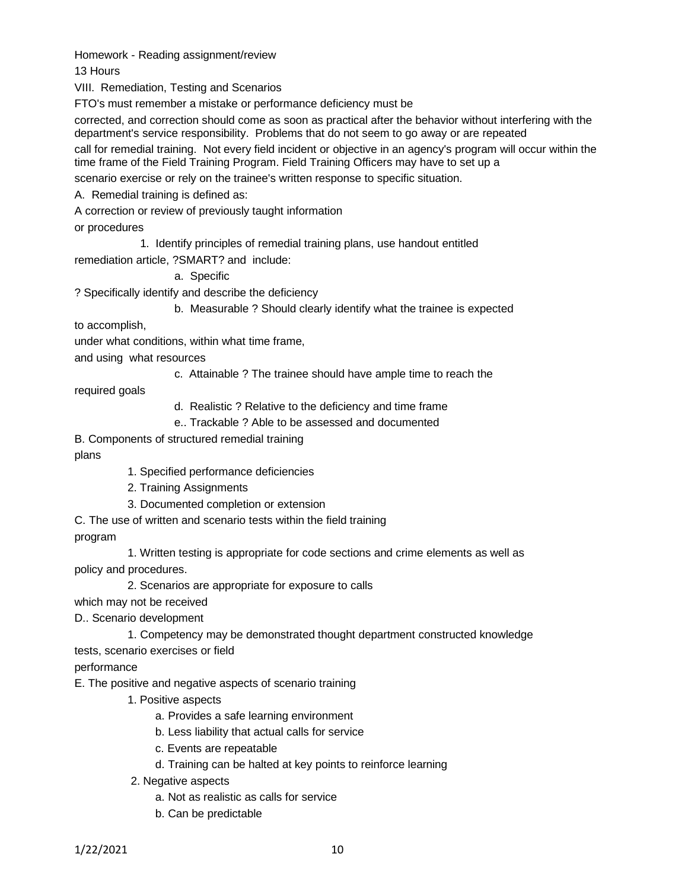Homework - Reading assignment/review

13 Hours

VIII. Remediation, Testing and Scenarios

FTO's must remember a mistake or performance deficiency must be

corrected, and correction should come as soon as practical after the behavior without interfering with the department's service responsibility. Problems that do not seem to go away or are repeated call for remedial training. Not every field incident or objective in an agency's program will occur within the time frame of the Field Training Program. Field Training Officers may have to set up a

scenario exercise or rely on the trainee's written response to specific situation.

A. Remedial training is defined as:

A correction or review of previously taught information

or procedures

1. Identify principles of remedial training plans, use handout entitled

remediation article, ?SMART? and include:

a. Specific

? Specifically identify and describe the deficiency

#### b. Measurable ? Should clearly identify what the trainee is expected

to accomplish,

under what conditions, within what time frame,

and using what resources

c. Attainable ? The trainee should have ample time to reach the

required goals

d. Realistic ? Relative to the deficiency and time frame

e.. Trackable ? Able to be assessed and documented

B. Components of structured remedial training

plans

- 1. Specified performance deficiencies
- 2. Training Assignments
- 3. Documented completion or extension

C. The use of written and scenario tests within the field training

#### program

 1. Written testing is appropriate for code sections and crime elements as well as policy and procedures.

2. Scenarios are appropriate for exposure to calls

which may not be received

- D.. Scenario development
	- 1. Competency may be demonstrated thought department constructed knowledge

tests, scenario exercises or field

performance

E. The positive and negative aspects of scenario training

- 1. Positive aspects
	- a. Provides a safe learning environment
	- b. Less liability that actual calls for service
	- c. Events are repeatable
	- d. Training can be halted at key points to reinforce learning
- 2. Negative aspects
	- a. Not as realistic as calls for service
	- b. Can be predictable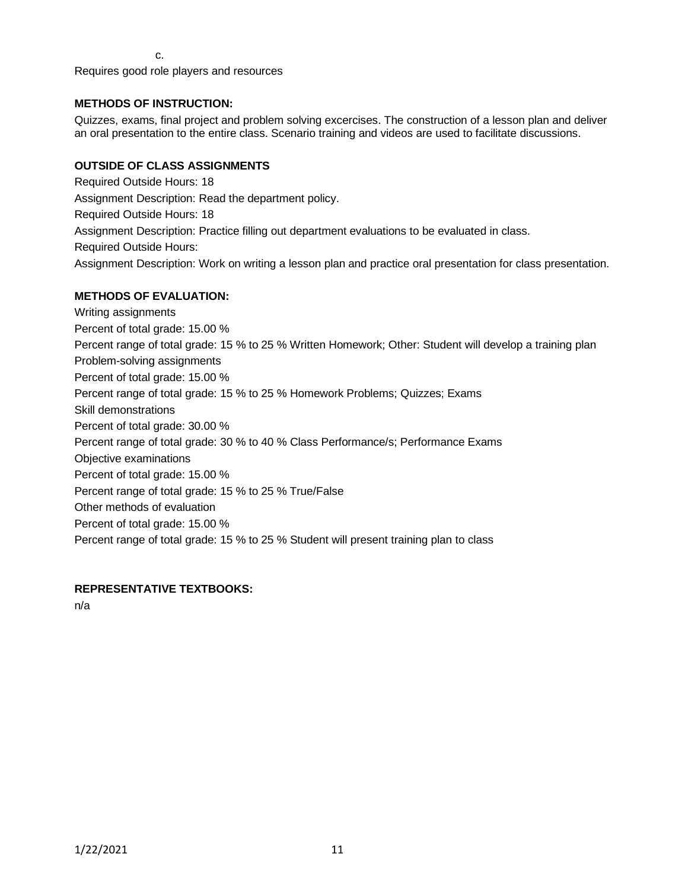c.

Requires good role players and resources

## **METHODS OF INSTRUCTION:**

Quizzes, exams, final project and problem solving excercises. The construction of a lesson plan and deliver an oral presentation to the entire class. Scenario training and videos are used to facilitate discussions.

## **OUTSIDE OF CLASS ASSIGNMENTS**

Required Outside Hours: 18 Assignment Description: Read the department policy. Required Outside Hours: 18 Assignment Description: Practice filling out department evaluations to be evaluated in class. Required Outside Hours: Assignment Description: Work on writing a lesson plan and practice oral presentation for class presentation.

## **METHODS OF EVALUATION:**

Writing assignments Percent of total grade: 15.00 % Percent range of total grade: 15 % to 25 % Written Homework; Other: Student will develop a training plan Problem-solving assignments Percent of total grade: 15.00 % Percent range of total grade: 15 % to 25 % Homework Problems; Quizzes; Exams Skill demonstrations Percent of total grade: 30.00 % Percent range of total grade: 30 % to 40 % Class Performance/s; Performance Exams Objective examinations Percent of total grade: 15.00 % Percent range of total grade: 15 % to 25 % True/False Other methods of evaluation Percent of total grade: 15.00 % Percent range of total grade: 15 % to 25 % Student will present training plan to class

## **REPRESENTATIVE TEXTBOOKS:**

n/a